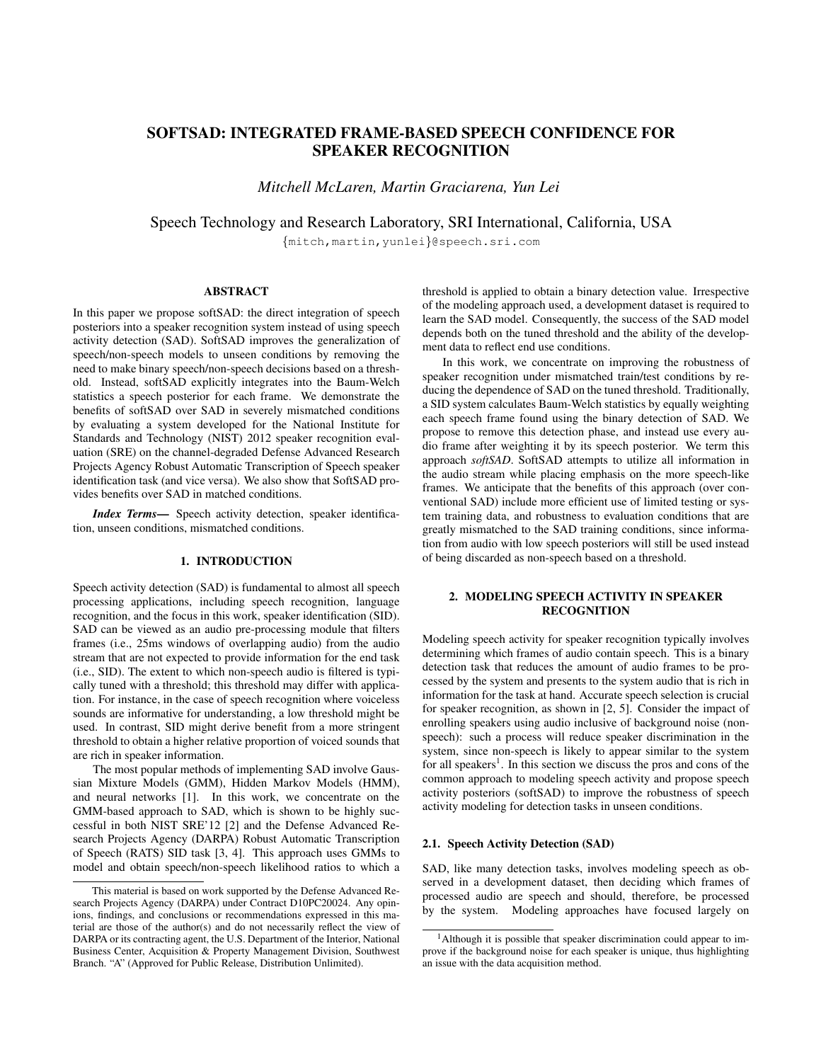# SOFTSAD: INTEGRATED FRAME-BASED SPEECH CONFIDENCE FOR SPEAKER RECOGNITION

*Mitchell McLaren, Martin Graciarena, Yun Lei*

Speech Technology and Research Laboratory, SRI International, California, USA

{mitch,martin,yunlei}@speech.sri.com

# ABSTRACT

In this paper we propose softSAD: the direct integration of speech posteriors into a speaker recognition system instead of using speech activity detection (SAD). SoftSAD improves the generalization of speech/non-speech models to unseen conditions by removing the need to make binary speech/non-speech decisions based on a threshold. Instead, softSAD explicitly integrates into the Baum-Welch statistics a speech posterior for each frame. We demonstrate the benefits of softSAD over SAD in severely mismatched conditions by evaluating a system developed for the National Institute for Standards and Technology (NIST) 2012 speaker recognition evaluation (SRE) on the channel-degraded Defense Advanced Research Projects Agency Robust Automatic Transcription of Speech speaker identification task (and vice versa). We also show that SoftSAD provides benefits over SAD in matched conditions.

*Index Terms*— Speech activity detection, speaker identification, unseen conditions, mismatched conditions.

#### 1. INTRODUCTION

Speech activity detection (SAD) is fundamental to almost all speech processing applications, including speech recognition, language recognition, and the focus in this work, speaker identification (SID). SAD can be viewed as an audio pre-processing module that filters frames (i.e., 25ms windows of overlapping audio) from the audio stream that are not expected to provide information for the end task (i.e., SID). The extent to which non-speech audio is filtered is typically tuned with a threshold; this threshold may differ with application. For instance, in the case of speech recognition where voiceless sounds are informative for understanding, a low threshold might be used. In contrast, SID might derive benefit from a more stringent threshold to obtain a higher relative proportion of voiced sounds that are rich in speaker information.

The most popular methods of implementing SAD involve Gaussian Mixture Models (GMM), Hidden Markov Models (HMM), and neural networks [1]. In this work, we concentrate on the GMM-based approach to SAD, which is shown to be highly successful in both NIST SRE'12 [2] and the Defense Advanced Research Projects Agency (DARPA) Robust Automatic Transcription of Speech (RATS) SID task [3, 4]. This approach uses GMMs to model and obtain speech/non-speech likelihood ratios to which a threshold is applied to obtain a binary detection value. Irrespective of the modeling approach used, a development dataset is required to learn the SAD model. Consequently, the success of the SAD model depends both on the tuned threshold and the ability of the development data to reflect end use conditions.

In this work, we concentrate on improving the robustness of speaker recognition under mismatched train/test conditions by reducing the dependence of SAD on the tuned threshold. Traditionally, a SID system calculates Baum-Welch statistics by equally weighting each speech frame found using the binary detection of SAD. We propose to remove this detection phase, and instead use every audio frame after weighting it by its speech posterior. We term this approach *softSAD*. SoftSAD attempts to utilize all information in the audio stream while placing emphasis on the more speech-like frames. We anticipate that the benefits of this approach (over conventional SAD) include more efficient use of limited testing or system training data, and robustness to evaluation conditions that are greatly mismatched to the SAD training conditions, since information from audio with low speech posteriors will still be used instead of being discarded as non-speech based on a threshold.

# 2. MODELING SPEECH ACTIVITY IN SPEAKER **RECOGNITION**

Modeling speech activity for speaker recognition typically involves determining which frames of audio contain speech. This is a binary detection task that reduces the amount of audio frames to be processed by the system and presents to the system audio that is rich in information for the task at hand. Accurate speech selection is crucial for speaker recognition, as shown in [2, 5]. Consider the impact of enrolling speakers using audio inclusive of background noise (nonspeech): such a process will reduce speaker discrimination in the system, since non-speech is likely to appear similar to the system for all speakers<sup>1</sup>. In this section we discuss the pros and cons of the common approach to modeling speech activity and propose speech activity posteriors (softSAD) to improve the robustness of speech activity modeling for detection tasks in unseen conditions.

#### 2.1. Speech Activity Detection (SAD)

SAD, like many detection tasks, involves modeling speech as observed in a development dataset, then deciding which frames of processed audio are speech and should, therefore, be processed by the system. Modeling approaches have focused largely on

This material is based on work supported by the Defense Advanced Research Projects Agency (DARPA) under Contract D10PC20024. Any opinions, findings, and conclusions or recommendations expressed in this material are those of the author(s) and do not necessarily reflect the view of DARPA or its contracting agent, the U.S. Department of the Interior, National Business Center, Acquisition & Property Management Division, Southwest Branch. "A" (Approved for Public Release, Distribution Unlimited).

<sup>&</sup>lt;sup>1</sup>Although it is possible that speaker discrimination could appear to improve if the background noise for each speaker is unique, thus highlighting an issue with the data acquisition method.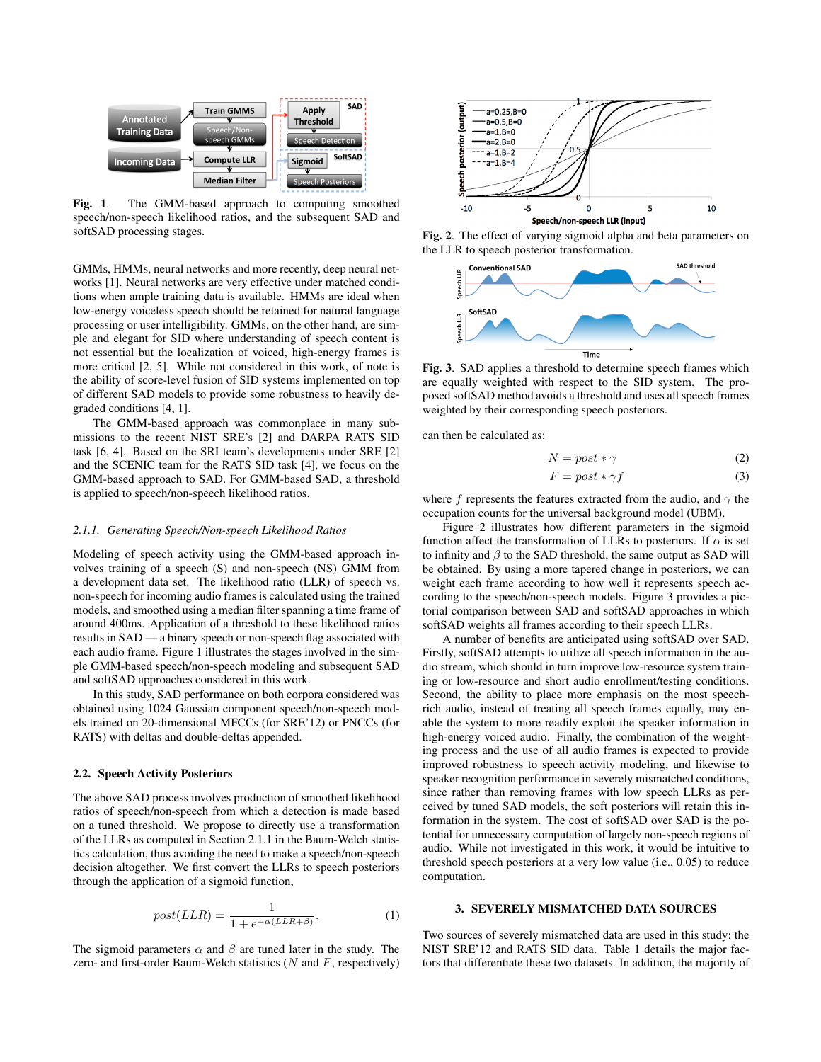

Fig. 1. The GMM-based approach to computing smoothed speech/non-speech likelihood ratios, and the subsequent SAD and softSAD processing stages.

GMMs, HMMs, neural networks and more recently, deep neural networks [1]. Neural networks are very effective under matched conditions when ample training data is available. HMMs are ideal when low-energy voiceless speech should be retained for natural language processing or user intelligibility. GMMs, on the other hand, are simple and elegant for SID where understanding of speech content is not essential but the localization of voiced, high-energy frames is more critical [2, 5]. While not considered in this work, of note is the ability of score-level fusion of SID systems implemented on top of different SAD models to provide some robustness to heavily degraded conditions [4, 1].

The GMM-based approach was commonplace in many submissions to the recent NIST SRE's [2] and DARPA RATS SID task [6, 4]. Based on the SRI team's developments under SRE [2] and the SCENIC team for the RATS SID task [4], we focus on the GMM-based approach to SAD. For GMM-based SAD, a threshold is applied to speech/non-speech likelihood ratios.

#### *2.1.1. Generating Speech/Non-speech Likelihood Ratios*

Modeling of speech activity using the GMM-based approach involves training of a speech (S) and non-speech (NS) GMM from a development data set. The likelihood ratio (LLR) of speech vs. non-speech for incoming audio frames is calculated using the trained models, and smoothed using a median filter spanning a time frame of around 400ms. Application of a threshold to these likelihood ratios results in SAD — a binary speech or non-speech flag associated with each audio frame. Figure 1 illustrates the stages involved in the simple GMM-based speech/non-speech modeling and subsequent SAD and softSAD approaches considered in this work.

In this study, SAD performance on both corpora considered was obtained using 1024 Gaussian component speech/non-speech models trained on 20-dimensional MFCCs (for SRE'12) or PNCCs (for RATS) with deltas and double-deltas appended.

#### 2.2. Speech Activity Posteriors

The above SAD process involves production of smoothed likelihood ratios of speech/non-speech from which a detection is made based on a tuned threshold. We propose to directly use a transformation of the LLRs as computed in Section 2.1.1 in the Baum-Welch statistics calculation, thus avoiding the need to make a speech/non-speech decision altogether. We first convert the LLRs to speech posteriors through the application of a sigmoid function,

$$
post(LLR) = \frac{1}{1 + e^{-\alpha(LLR + \beta)}}.
$$
 (1)

The sigmoid parameters  $\alpha$  and  $\beta$  are tuned later in the study. The zero- and first-order Baum-Welch statistics  $(N \text{ and } F, \text{ respectively})$ 



Fig. 2. The effect of varying sigmoid alpha and beta parameters on the LLR to speech posterior transformation.



Fig. 3. SAD applies a threshold to determine speech frames which are equally weighted with respect to the SID system. The proposed softSAD method avoids a threshold and uses all speech frames weighted by their corresponding speech posteriors.

can then be calculated as:

$$
N = post * \gamma \tag{2}
$$

$$
F = post * \gamma f \tag{3}
$$

where f represents the features extracted from the audio, and  $\gamma$  the occupation counts for the universal background model (UBM).

Figure 2 illustrates how different parameters in the sigmoid function affect the transformation of LLRs to posteriors. If  $\alpha$  is set to infinity and  $\beta$  to the SAD threshold, the same output as SAD will be obtained. By using a more tapered change in posteriors, we can weight each frame according to how well it represents speech according to the speech/non-speech models. Figure 3 provides a pictorial comparison between SAD and softSAD approaches in which softSAD weights all frames according to their speech LLRs.

A number of benefits are anticipated using softSAD over SAD. Firstly, softSAD attempts to utilize all speech information in the audio stream, which should in turn improve low-resource system training or low-resource and short audio enrollment/testing conditions. Second, the ability to place more emphasis on the most speechrich audio, instead of treating all speech frames equally, may enable the system to more readily exploit the speaker information in high-energy voiced audio. Finally, the combination of the weighting process and the use of all audio frames is expected to provide improved robustness to speech activity modeling, and likewise to speaker recognition performance in severely mismatched conditions, since rather than removing frames with low speech LLRs as perceived by tuned SAD models, the soft posteriors will retain this information in the system. The cost of softSAD over SAD is the potential for unnecessary computation of largely non-speech regions of audio. While not investigated in this work, it would be intuitive to threshold speech posteriors at a very low value (i.e., 0.05) to reduce computation.

# 3. SEVERELY MISMATCHED DATA SOURCES

Two sources of severely mismatched data are used in this study; the NIST SRE'12 and RATS SID data. Table 1 details the major factors that differentiate these two datasets. In addition, the majority of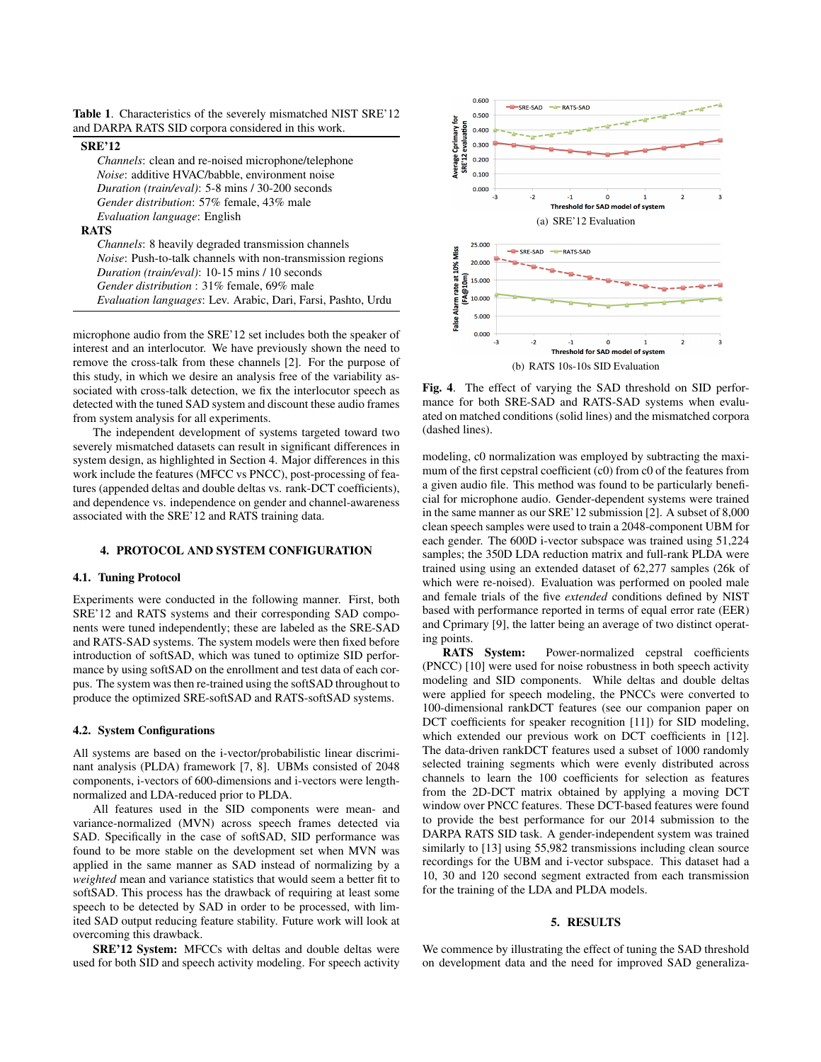Table 1. Characteristics of the severely mismatched NIST SRE'12 and DARPA RATS SID corpora considered in this work.

#### SRE'12

*Channels*: clean and re-noised microphone/telephone *Noise*: additive HVAC/babble, environment noise *Duration (train/eval)*: 5-8 mins / 30-200 seconds *Gender distribution*: 57% female, 43% male *Evaluation language*: English

#### RATS

*Channels*: 8 heavily degraded transmission channels *Noise*: Push-to-talk channels with non-transmission regions *Duration (train/eval)*: 10-15 mins / 10 seconds *Gender distribution* : 31% female, 69% male *Evaluation languages*: Lev. Arabic, Dari, Farsi, Pashto, Urdu

microphone audio from the SRE'12 set includes both the speaker of interest and an interlocutor. We have previously shown the need to remove the cross-talk from these channels [2]. For the purpose of this study, in which we desire an analysis free of the variability associated with cross-talk detection, we fix the interlocutor speech as detected with the tuned SAD system and discount these audio frames from system analysis for all experiments.

The independent development of systems targeted toward two severely mismatched datasets can result in significant differences in system design, as highlighted in Section 4. Major differences in this work include the features (MFCC vs PNCC), post-processing of features (appended deltas and double deltas vs. rank-DCT coefficients), and dependence vs. independence on gender and channel-awareness associated with the SRE'12 and RATS training data.

#### 4. PROTOCOL AND SYSTEM CONFIGURATION

# 4.1. Tuning Protocol

Experiments were conducted in the following manner. First, both SRE'12 and RATS systems and their corresponding SAD components were tuned independently; these are labeled as the SRE-SAD and RATS-SAD systems. The system models were then fixed before introduction of softSAD, which was tuned to optimize SID performance by using softSAD on the enrollment and test data of each corpus. The system was then re-trained using the softSAD throughout to produce the optimized SRE-softSAD and RATS-softSAD systems.

#### 4.2. System Configurations

All systems are based on the i-vector/probabilistic linear discriminant analysis (PLDA) framework [7, 8]. UBMs consisted of 2048 components, i-vectors of 600-dimensions and i-vectors were lengthnormalized and LDA-reduced prior to PLDA.

All features used in the SID components were mean- and variance-normalized (MVN) across speech frames detected via SAD. Specifically in the case of softSAD, SID performance was found to be more stable on the development set when MVN was applied in the same manner as SAD instead of normalizing by a *weighted* mean and variance statistics that would seem a better fit to softSAD. This process has the drawback of requiring at least some speech to be detected by SAD in order to be processed, with limited SAD output reducing feature stability. Future work will look at overcoming this drawback.

SRE'12 System: MFCCs with deltas and double deltas were used for both SID and speech activity modeling. For speech activity



Fig. 4. The effect of varying the SAD threshold on SID performance for both SRE-SAD and RATS-SAD systems when evaluated on matched conditions (solid lines) and the mismatched corpora (dashed lines).

modeling, c0 normalization was employed by subtracting the maximum of the first cepstral coefficient (c0) from c0 of the features from a given audio file. This method was found to be particularly beneficial for microphone audio. Gender-dependent systems were trained in the same manner as our SRE'12 submission [2]. A subset of 8,000 clean speech samples were used to train a 2048-component UBM for each gender. The 600D i-vector subspace was trained using 51,224 samples; the 350D LDA reduction matrix and full-rank PLDA were trained using using an extended dataset of 62,277 samples (26k of which were re-noised). Evaluation was performed on pooled male and female trials of the five *extended* conditions defined by NIST based with performance reported in terms of equal error rate (EER) and Cprimary [9], the latter being an average of two distinct operating points.

RATS System: Power-normalized cepstral coefficients (PNCC) [10] were used for noise robustness in both speech activity modeling and SID components. While deltas and double deltas were applied for speech modeling, the PNCCs were converted to 100-dimensional rankDCT features (see our companion paper on DCT coefficients for speaker recognition [11]) for SID modeling, which extended our previous work on DCT coefficients in [12]. The data-driven rankDCT features used a subset of 1000 randomly selected training segments which were evenly distributed across channels to learn the 100 coefficients for selection as features from the 2D-DCT matrix obtained by applying a moving DCT window over PNCC features. These DCT-based features were found to provide the best performance for our 2014 submission to the DARPA RATS SID task. A gender-independent system was trained similarly to [13] using 55,982 transmissions including clean source recordings for the UBM and i-vector subspace. This dataset had a 10, 30 and 120 second segment extracted from each transmission for the training of the LDA and PLDA models.

# 5. RESULTS

We commence by illustrating the effect of tuning the SAD threshold on development data and the need for improved SAD generaliza-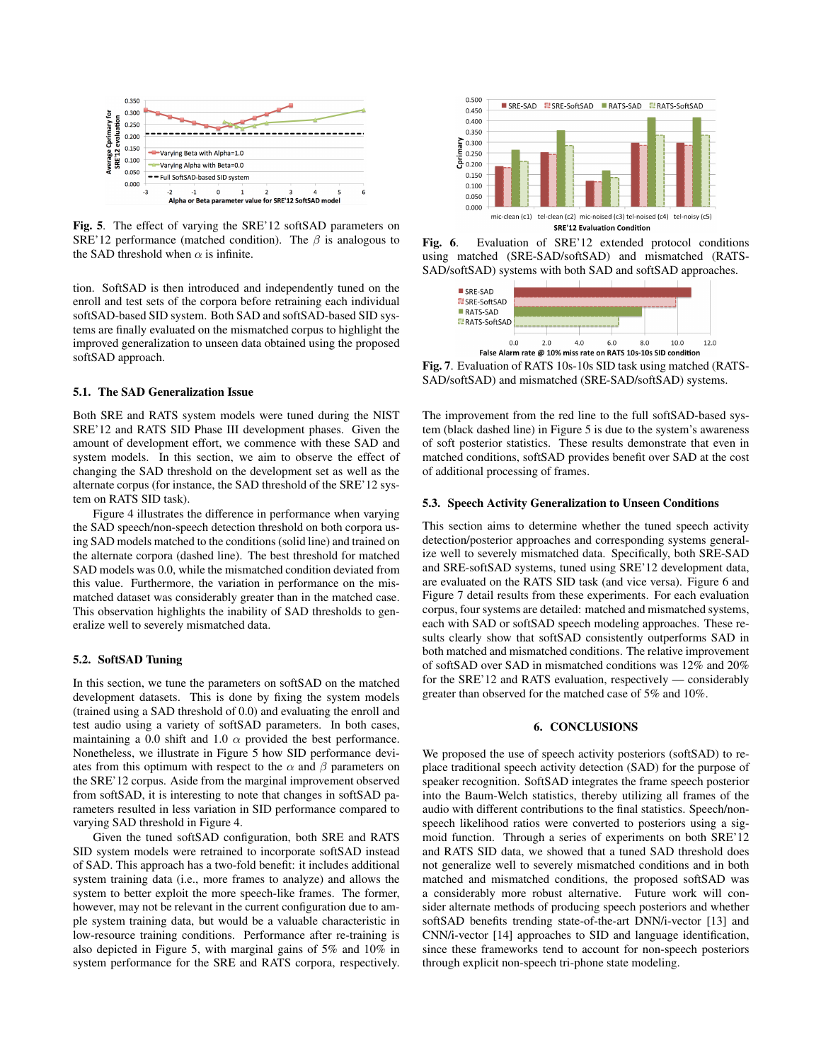

Fig. 5. The effect of varying the SRE'12 softSAD parameters on SRE'12 performance (matched condition). The  $\beta$  is analogous to the SAD threshold when  $\alpha$  is infinite.

tion. SoftSAD is then introduced and independently tuned on the enroll and test sets of the corpora before retraining each individual softSAD-based SID system. Both SAD and softSAD-based SID systems are finally evaluated on the mismatched corpus to highlight the improved generalization to unseen data obtained using the proposed softSAD approach.

#### 5.1. The SAD Generalization Issue

Both SRE and RATS system models were tuned during the NIST SRE'12 and RATS SID Phase III development phases. Given the amount of development effort, we commence with these SAD and system models. In this section, we aim to observe the effect of changing the SAD threshold on the development set as well as the alternate corpus (for instance, the SAD threshold of the SRE'12 system on RATS SID task).

Figure 4 illustrates the difference in performance when varying the SAD speech/non-speech detection threshold on both corpora using SAD models matched to the conditions (solid line) and trained on the alternate corpora (dashed line). The best threshold for matched SAD models was 0.0, while the mismatched condition deviated from this value. Furthermore, the variation in performance on the mismatched dataset was considerably greater than in the matched case. This observation highlights the inability of SAD thresholds to generalize well to severely mismatched data.

#### 5.2. SoftSAD Tuning

In this section, we tune the parameters on softSAD on the matched development datasets. This is done by fixing the system models (trained using a SAD threshold of 0.0) and evaluating the enroll and test audio using a variety of softSAD parameters. In both cases, maintaining a 0.0 shift and 1.0  $\alpha$  provided the best performance. Nonetheless, we illustrate in Figure 5 how SID performance deviates from this optimum with respect to the  $\alpha$  and  $\beta$  parameters on the SRE'12 corpus. Aside from the marginal improvement observed from softSAD, it is interesting to note that changes in softSAD parameters resulted in less variation in SID performance compared to varying SAD threshold in Figure 4.

Given the tuned softSAD configuration, both SRE and RATS SID system models were retrained to incorporate softSAD instead of SAD. This approach has a two-fold benefit: it includes additional system training data (i.e., more frames to analyze) and allows the system to better exploit the more speech-like frames. The former, however, may not be relevant in the current configuration due to ample system training data, but would be a valuable characteristic in low-resource training conditions. Performance after re-training is also depicted in Figure 5, with marginal gains of 5% and 10% in system performance for the SRE and RATS corpora, respectively.



Fig. 6. Evaluation of SRE'12 extended protocol conditions using matched (SRE-SAD/softSAD) and mismatched (RATS-SAD/softSAD) systems with both SAD and softSAD approaches.



Fig. 7. Evaluation of RATS 10s-10s SID task using matched (RATS-SAD/softSAD) and mismatched (SRE-SAD/softSAD) systems.

The improvement from the red line to the full softSAD-based system (black dashed line) in Figure 5 is due to the system's awareness of soft posterior statistics. These results demonstrate that even in matched conditions, softSAD provides benefit over SAD at the cost of additional processing of frames.

#### 5.3. Speech Activity Generalization to Unseen Conditions

This section aims to determine whether the tuned speech activity detection/posterior approaches and corresponding systems generalize well to severely mismatched data. Specifically, both SRE-SAD and SRE-softSAD systems, tuned using SRE'12 development data, are evaluated on the RATS SID task (and vice versa). Figure 6 and Figure 7 detail results from these experiments. For each evaluation corpus, four systems are detailed: matched and mismatched systems, each with SAD or softSAD speech modeling approaches. These results clearly show that softSAD consistently outperforms SAD in both matched and mismatched conditions. The relative improvement of softSAD over SAD in mismatched conditions was 12% and 20% for the SRE'12 and RATS evaluation, respectively — considerably greater than observed for the matched case of 5% and 10%.

# 6. CONCLUSIONS

We proposed the use of speech activity posteriors (softSAD) to replace traditional speech activity detection (SAD) for the purpose of speaker recognition. SoftSAD integrates the frame speech posterior into the Baum-Welch statistics, thereby utilizing all frames of the audio with different contributions to the final statistics. Speech/nonspeech likelihood ratios were converted to posteriors using a sigmoid function. Through a series of experiments on both SRE'12 and RATS SID data, we showed that a tuned SAD threshold does not generalize well to severely mismatched conditions and in both matched and mismatched conditions, the proposed softSAD was a considerably more robust alternative. Future work will consider alternate methods of producing speech posteriors and whether softSAD benefits trending state-of-the-art DNN/i-vector [13] and CNN/i-vector [14] approaches to SID and language identification, since these frameworks tend to account for non-speech posteriors through explicit non-speech tri-phone state modeling.